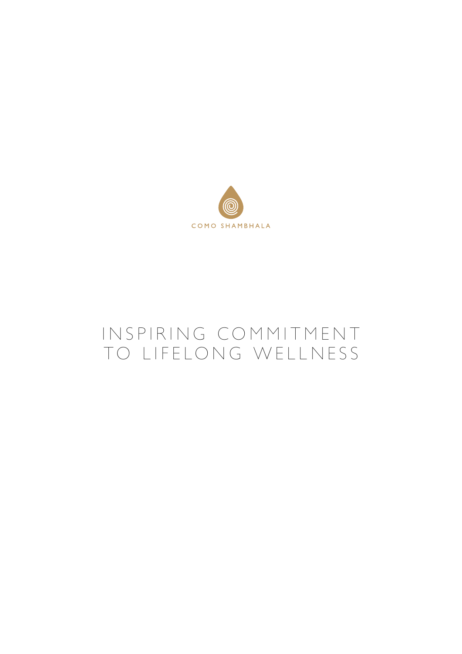

# IN SPIRING COMMITMENT TO LIFELONG WELLNESS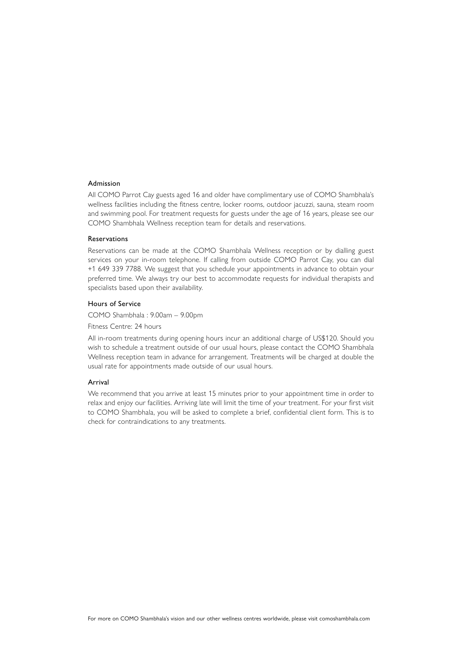### Admission

All COMO Parrot Cay guests aged 16 and older have complimentary use of COMO Shambhala's wellness facilities including the fitness centre, locker rooms, outdoor jacuzzi, sauna, steam room and swimming pool. For treatment requests for guests under the age of 16 years, please see our COMO Shambhala Wellness reception team for details and reservations.

### Reservations

Reservations can be made at the COMO Shambhala Wellness reception or by dialling guest services on your in-room telephone. If calling from outside COMO Parrot Cay, you can dial +1 649 339 7788. We suggest that you schedule your appointments in advance to obtain your preferred time. We always try our best to accommodate requests for individual therapists and specialists based upon their availability.

# Hours of Service

COMO Shambhala : 9.00am – 9.00pm

Fitness Centre: 24 hours

All in-room treatments during opening hours incur an additional charge of US\$120. Should you wish to schedule a treatment outside of our usual hours, please contact the COMO Shambhala Wellness reception team in advance for arrangement. Treatments will be charged at double the usual rate for appointments made outside of our usual hours.

### Arrival

We recommend that you arrive at least 15 minutes prior to your appointment time in order to relax and enjoy our facilities. Arriving late will limit the time of your treatment. For your first visit to COMO Shambhala, you will be asked to complete a brief, confidential client form. This is to check for contraindications to any treatments.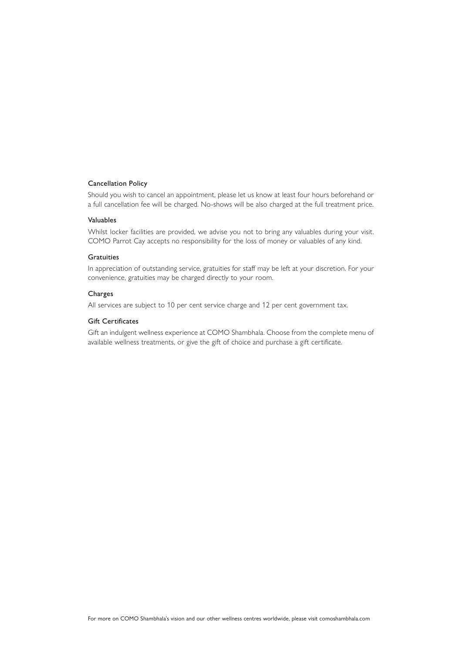# Cancellation Policy

Should you wish to cancel an appointment, please let us know at least four hours beforehand or a full cancellation fee will be charged. No-shows will be also charged at the full treatment price.

### Valuables

Whilst locker facilities are provided, we advise you not to bring any valuables during your visit. COMO Parrot Cay accepts no responsibility for the loss of money or valuables of any kind.

### **Gratuities**

In appreciation of outstanding service, gratuities for staff may be left at your discretion. For your convenience, gratuities may be charged directly to your room.

# Charges

All services are subject to 10 per cent service charge and 12 per cent government tax.

# Gift Certificates

Gift an indulgent wellness experience at COMO Shambhala. Choose from the complete menu of available wellness treatments, or give the gift of choice and purchase a gift certificate.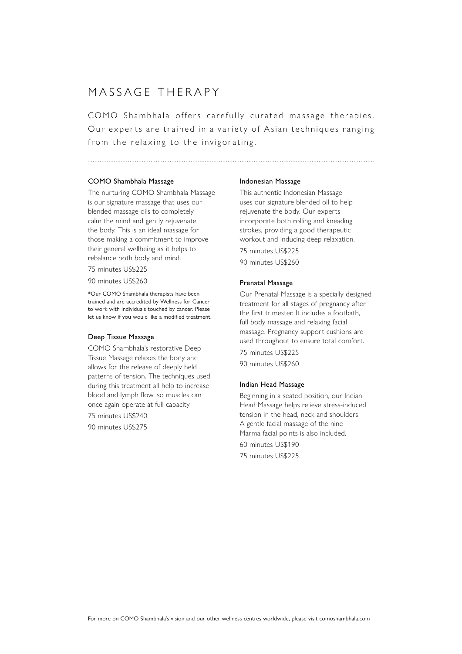# MASSAGE THERAPY

COMO Shambhala offers carefully curated massage therapies. Our experts are trained in a variety of Asian techniques ranging from the relaxing to the invigorating.

### COMO Shambhala Massage

The nurturing COMO Shambhala Massage is our signature massage that uses our blended massage oils to completely calm the mind and gently rejuvenate the body. This is an ideal massage for those making a commitment to improve their general wellbeing as it helps to rebalance both body and mind.

75 minutes US\$225

90 minutes US\$260

\*Our COMO Shambhala therapists have been trained and are accredited by Wellness for Cancer to work with individuals touched by cancer. Please let us know if you would like a modified treatment.

### Deep Tissue Massage

COMO Shambhala's restorative Deep Tissue Massage relaxes the body and allows for the release of deeply held patterns of tension. The techniques used during this treatment all help to increase blood and lymph flow, so muscles can once again operate at full capacity. 75 minutes US\$240 90 minutes US\$275

#### Indonesian Massage

This authentic Indonesian Massage uses our signature blended oil to help rejuvenate the body. Our experts incorporate both rolling and kneading strokes, providing a good therapeutic workout and inducing deep relaxation.

75 minutes US\$225 90 minutes US\$260

### Prenatal Massage

Our Prenatal Massage is a specially designed treatment for all stages of pregnancy after the first trimester. It includes a footbath, full body massage and relaxing facial massage. Pregnancy support cushions are used throughout to ensure total comfort. 75 minutes US\$225

90 minutes US\$260

#### Indian Head Massage

Beginning in a seated position, our Indian Head Massage helps relieve stress-induced tension in the head, neck and shoulders. A gentle facial massage of the nine Marma facial points is also included. 60 minutes US\$190 75 minutes US\$225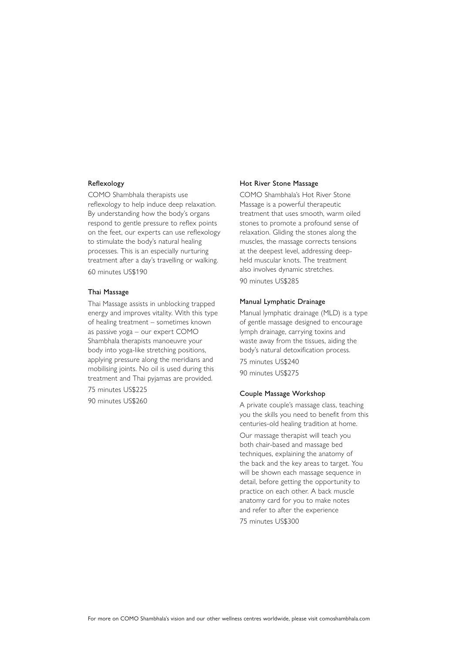# Reflexology

COMO Shambhala therapists use reflexology to help induce deep relaxation. By understanding how the body's organs respond to gentle pressure to reflex points on the feet, our experts can use reflexology to stimulate the body's natural healing processes. This is an especially nurturing treatment after a day's travelling or walking. 60 minutes US\$190

# Thai Massage

Thai Massage assists in unblocking trapped energy and improves vitality. With this type of healing treatment – sometimes known as passive yoga – our expert COMO Shambhala therapists manoeuvre your body into yoga-like stretching positions, applying pressure along the meridians and mobilising joints. No oil is used during this treatment and Thai pyjamas are provided. 75 minutes US\$225

90 minutes US\$260

### Hot River Stone Massage

COMO Shambhala's Hot River Stone Massage is a powerful therapeutic treatment that uses smooth, warm oiled stones to promote a profound sense of relaxation. Gliding the stones along the muscles, the massage corrects tensions at the deepest level, addressing deepheld muscular knots. The treatment also involves dynamic stretches. 90 minutes US\$285

### Manual Lymphatic Drainage

Manual lymphatic drainage (MLD) is a type of gentle massage designed to encourage lymph drainage, carrying toxins and waste away from the tissues, aiding the body's natural detoxification process. 75 minutes US\$240 90 minutes US\$275

### Couple Massage Workshop

A private couple's massage class, teaching you the skills you need to benefit from this centuries-old healing tradition at home.

Our massage therapist will teach you both chair-based and massage bed techniques, explaining the anatomy of the back and the key areas to target. You will be shown each massage sequence in detail, before getting the opportunity to practice on each other. A back muscle anatomy card for you to make notes and refer to after the experience

75 minutes US\$300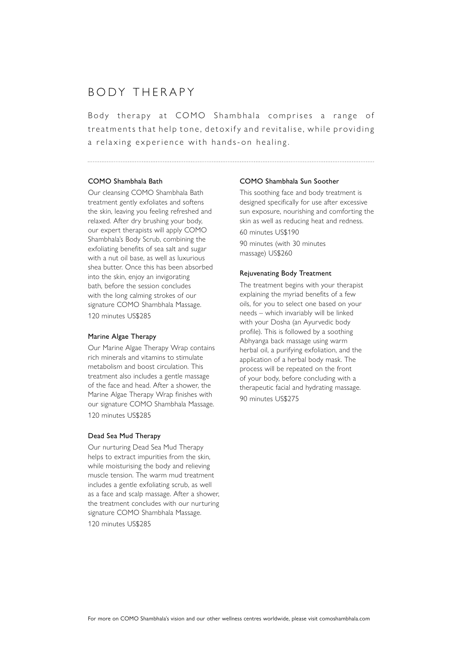# BODY THERAPY

Body therapy at COMO Shambhala comprises a range of treatments that help tone, detoxify and revitalise, while providing a relaxing experience with hands-on healing.

### COMO Shambhala Bath

Our cleansing COMO Shambhala Bath treatment gently exfoliates and softens the skin, leaving you feeling refreshed and relaxed. After dry brushing your body, our expert therapists will apply COMO Shambhala's Body Scrub, combining the exfoliating benefits of sea salt and sugar with a nut oil base, as well as luxurious shea butter. Once this has been absorbed into the skin, enjoy an invigorating bath, before the session concludes with the long calming strokes of our signature COMO Shambhala Massage. 120 minutes US\$285

# Marine Algae Therapy

Our Marine Algae Therapy Wrap contains rich minerals and vitamins to stimulate metabolism and boost circulation. This treatment also includes a gentle massage of the face and head. After a shower, the Marine Algae Therapy Wrap finishes with our signature COMO Shambhala Massage. 120 minutes US\$285

### Dead Sea Mud Therapy

Our nurturing Dead Sea Mud Therapy helps to extract impurities from the skin, while moisturising the body and relieving muscle tension. The warm mud treatment includes a gentle exfoliating scrub, as well as a face and scalp massage. After a shower, the treatment concludes with our nurturing signature COMO Shambhala Massage.

120 minutes US\$285

#### COMO Shambhala Sun Soother

This soothing face and body treatment is designed specifically for use after excessive sun exposure, nourishing and comforting the skin as well as reducing heat and redness.

60 minutes US\$190

90 minutes (with 30 minutes massage) US\$260

#### Rejuvenating Body Treatment

The treatment begins with your therapist explaining the myriad benefits of a few oils, for you to select one based on your needs – which invariably will be linked with your Dosha (an Ayurvedic body profile). This is followed by a soothing Abhyanga back massage using warm herbal oil, a purifying exfoliation, and the application of a herbal body mask. The process will be repeated on the front of your body, before concluding with a therapeutic facial and hydrating massage. 90 minutes US\$275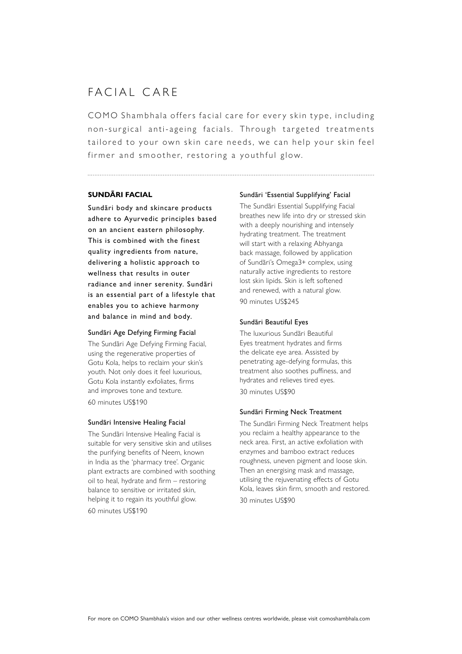# FACIAL CARE

COMO Shambhala offers facial care for every skin type, including non-surgical anti-ageing facials. Through targeted treatments tailored to your own skin care needs, we can help your skin feel firmer and smoother, restoring a youthful glow.

# **SUNDÃRI FACIAL**

Sundãri body and skincare products adhere to Ayurvedic principles based on an ancient eastern philosophy. This is combined with the finest quality ingredients from nature, delivering a holistic approach to wellness that results in outer radiance and inner serenity. Sundãri is an essential part of a lifestyle that enables you to achieve harmony and balance in mind and body.

### Sundãri Age Defying Firming Facial

The Sundãri Age Defying Firming Facial, using the regenerative properties of Gotu Kola, helps to reclaim your skin's youth. Not only does it feel luxurious, Gotu Kola instantly exfoliates, firms and improves tone and texture. 60 minutes US\$190

### Sundãri Intensive Healing Facial

The Sundãri Intensive Healing Facial is suitable for very sensitive skin and utilises the purifying benefits of Neem, known in India as the 'pharmacy tree'. Organic plant extracts are combined with soothing oil to heal, hydrate and firm – restoring balance to sensitive or irritated skin, helping it to regain its youthful glow. 60 minutes US\$190

### Sundãri 'Essential Supplifying' Facial

The Sundãri Essential Supplifying Facial breathes new life into dry or stressed skin with a deeply nourishing and intensely hydrating treatment. The treatment will start with a relaxing Abhyanga back massage, followed by application of Sundãri's Omega3+ complex, using naturally active ingredients to restore lost skin lipids. Skin is left softened and renewed, with a natural glow. 90 minutes US\$245

### Sundãri Beautiful Eyes

The luxurious Sundãri Beautiful Eyes treatment hydrates and firms the delicate eye area. Assisted by penetrating age-defying formulas, this treatment also soothes puffiness, and hydrates and relieves tired eyes. 30 minutes US\$90

### Sundãri Firming Neck Treatment

The Sundãri Firming Neck Treatment helps you reclaim a healthy appearance to the neck area. First, an active exfoliation with enzymes and bamboo extract reduces roughness, uneven pigment and loose skin. Then an energising mask and massage, utilising the rejuvenating effects of Gotu Kola, leaves skin firm, smooth and restored. 30 minutes US\$90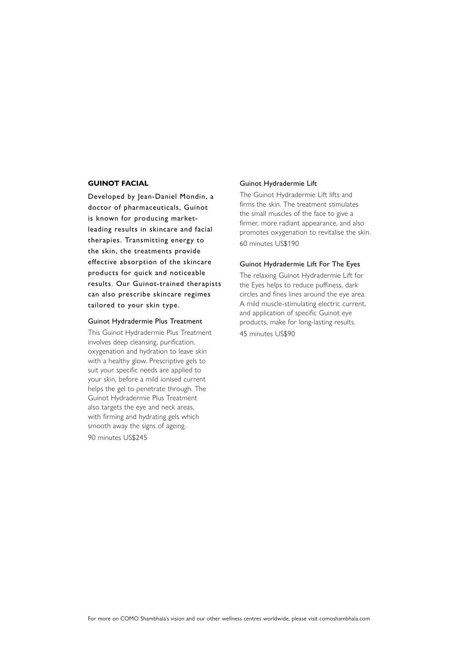# **GUINOT FACIAL**

Developed by Jean-Daniel Mondin, a doctor of pharmaceuticals, Guinot is known for producing marketleading results in skincare and facial therapies. Transmitting energy to the skin, the treatments provide effective absorption of the skincare products for quick and noticeable results. Our Guinot-trained therapists can also prescribe skincare regimes tailored to your skin type.

### Guinot Hydradermie Plus Treatment

This Guinot Hydradermie Plus Treatment involves deep cleansing, purification, oxygenation and hydration to leave skin with a healthy glow. Prescriptive gels to suit your specific needs are applied to your skin, before a mild ionised current helps the gel to penetrate through. The Guinot Hydradermie Plus Treatment also targets the eye and neck areas, with firming and hydrating gels which smooth away the signs of ageing. 90 minutes US\$245

### Guinot Hydradermie Lift

The Guinot Hydradermie Lift lifts and firms the skin. The treatment stimulates the small muscles of the face to give a firmer, more radiant appearance, and also promotes oxygenation to revitalise the skin. 60 minutes US\$190

#### Guinot Hydradermie Lift For The Eyes

The relaxing Guinot Hydradermie Lift for the Eyes helps to reduce puffiness, dark circles and fines lines around the eye area. A mild muscle-stimulating electric current, and application of specific Guinot eye products, make for long-lasting results. 45 minutes US\$90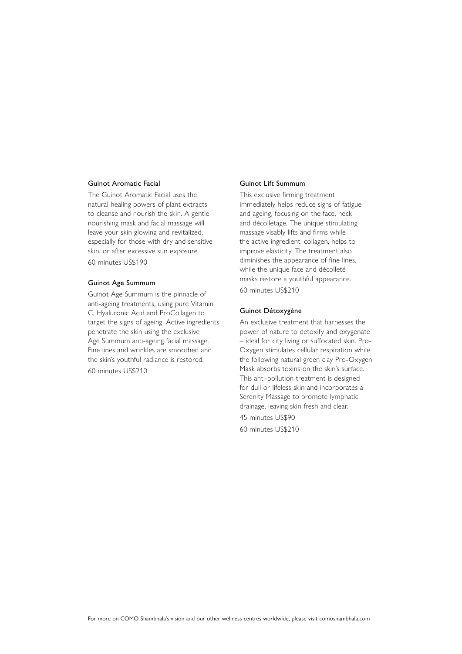### Guinot Aromatic Facial

The Guinot Aromatic Facial uses the natural healing powers of plant extracts to cleanse and nourish the skin. A gentle nourishing mask and facial massage will leave your skin glowing and revitalized, especially for those with dry and sensitive skin, or after excessive sun exposure. 60 minutes US\$190

### Guinot Age Summum

Guinot Age Summum is the pinnacle of anti-ageing treatments, using pure Vitamin C, Hyaluronic Acid and ProCollagen to target the signs of ageing. Active ingredients penetrate the skin using the exclusive Age Summum anti-ageing facial massage. Fine lines and wrinkles are smoothed and the skin's youthful radiance is restored. 60 minutes US\$210

### Guinot Lift Summum

This exclusive firming treatment immediately helps reduce signs of fatigue and ageing, focusing on the face, neck and décolletage. The unique stimulating massage visably lifts and firms while the active ingredient, collagen, helps to improve elasticity. The treatment also diminishes the appearance of fine lines, while the unique face and décolleté masks restore a youthful appearance. 60 minutes US\$210

### Guinot Détoxygène

An exclusive treatment that harnesses the power of nature to detoxify and oxygenate – ideal for city living or suffocated skin. Pro-Oxygen stimulates cellular respiration while the following natural green clay Pro-Oxygen Mask absorbs toxins on the skin's surface. This anti-pollution treatment is designed for dull or lifeless skin and incorporates a Serenity Massage to promote lymphatic drainage, leaving skin fresh and clear. 45 minutes US\$90 60 minutes US\$210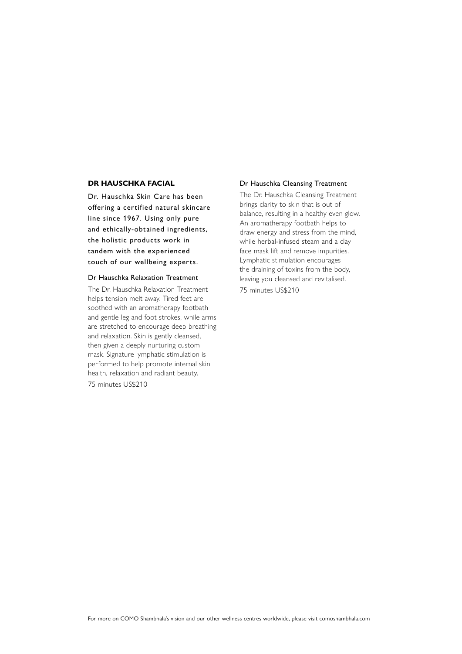# **DR HAUSCHKA FACIAL**

Dr. Hauschka Skin Care has been offering a certified natural skincare line since 1967. Using only pure and ethically-obtained ingredients, the holistic products work in tandem with the experienced touch of our wellbeing experts.

# Dr Hauschka Relaxation Treatment

The Dr. Hauschka Relaxation Treatment helps tension melt away. Tired feet are soothed with an aromatherapy footbath and gentle leg and foot strokes, while arms are stretched to encourage deep breathing and relaxation. Skin is gently cleansed, then given a deeply nurturing custom mask. Signature lymphatic stimulation is performed to help promote internal skin health, relaxation and radiant beauty.

75 minutes US\$210

### Dr Hauschka Cleansing Treatment

The Dr. Hauschka Cleansing Treatment brings clarity to skin that is out of balance, resulting in a healthy even glow. An aromatherapy footbath helps to draw energy and stress from the mind, while herbal-infused steam and a clay face mask lift and remove impurities. Lymphatic stimulation encourages the draining of toxins from the body, leaving you cleansed and revitalised.

75 minutes US\$210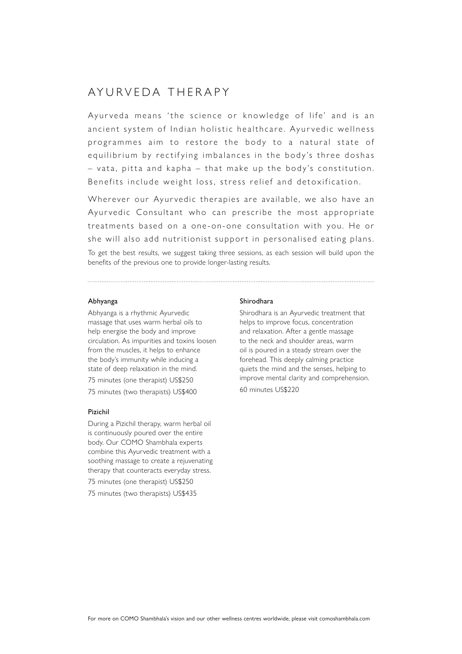# AYURVEDA THERAPY

Ayurveda means 'the science or knowledge of life' and is an ancient system of Indian holistic healthcare. Ayurvedic wellness programmes aim to restore the body to a natural state of equilibrium by rectifying imbalances in the body's three doshas  $-$  vata, pitta and kapha  $-$  that make up the body's constitution. Benefits include weight loss, stress relief and detoxification.

Wherever our Ayurvedic therapies are available, we also have an Ayurvedic Consultant who can prescribe the most appropriate treatments based on a one-on-one consultation with you. He or she will also add nutritionist support in personalised eating plans.

To get the best results, we suggest taking three sessions, as each session will build upon the benefits of the previous one to provide longer-lasting results.

# Abhyanga

Abhyanga is a rhythmic Ayurvedic massage that uses warm herbal oils to help energise the body and improve circulation. As impurities and toxins loosen from the muscles, it helps to enhance the body's immunity while inducing a state of deep relaxation in the mind.

75 minutes (one therapist) US\$250

75 minutes (two therapists) US\$400

### Pizichil

During a Pizichil therapy, warm herbal oil is continuously poured over the entire body. Our COMO Shambhala experts combine this Ayurvedic treatment with a soothing massage to create a rejuvenating therapy that counteracts everyday stress.

75 minutes (one therapist) US\$250 75 minutes (two therapists) US\$435

### Shirodhara

Shirodhara is an Ayurvedic treatment that helps to improve focus, concentration and relaxation. After a gentle massage to the neck and shoulder areas, warm oil is poured in a steady stream over the forehead. This deeply calming practice quiets the mind and the senses, helping to improve mental clarity and comprehension. 60 minutes US\$220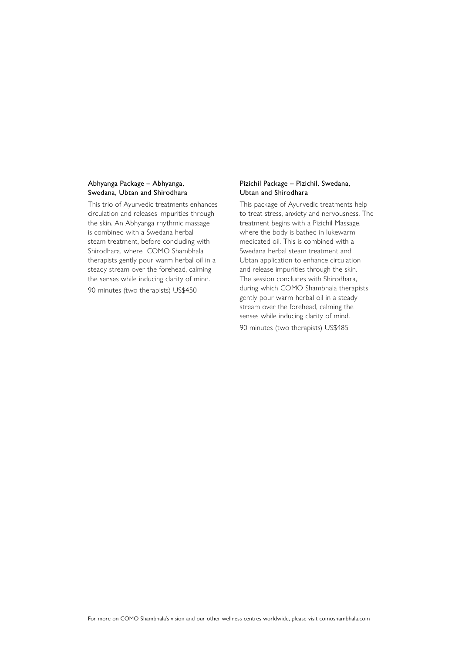# Abhyanga Package – Abhyanga, Swedana, Ubtan and Shirodhara

This trio of Ayurvedic treatments enhances circulation and releases impurities through the skin. An Abhyanga rhythmic massage is combined with a Swedana herbal steam treatment, before concluding with Shirodhara, where COMO Shambhala therapists gently pour warm herbal oil in a steady stream over the forehead, calming the senses while inducing clarity of mind.

90 minutes (two therapists) US\$450

# Pizichil Package – Pizichil, Swedana, Ubtan and Shirodhara

This package of Ayurvedic treatments help to treat stress, anxiety and nervousness. The treatment begins with a Pizichil Massage, where the body is bathed in lukewarm medicated oil. This is combined with a Swedana herbal steam treatment and Ubtan application to enhance circulation and release impurities through the skin. The session concludes with Shirodhara, during which COMO Shambhala therapists gently pour warm herbal oil in a steady stream over the forehead, calming the senses while inducing clarity of mind. 90 minutes (two therapists) US\$485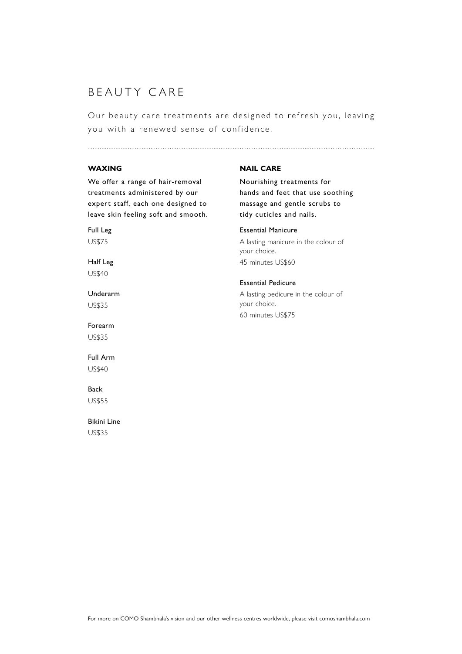# BEAUTY CARE

Our beauty care treatments are designed to refresh you, leaving you with a renewed sense of confidence.

# **WAXING**

We offer a range of hair-removal treatments administered by our expert staff, each one designed to leave skin feeling soft and smooth.

Full Leg US\$75

Half Leg US\$40

Underarm US\$35

Forearm US\$35

Full Arm US\$40

# Back

US\$55

Bikini Line US\$35

# **NAIL CARE**

Nourishing treatments for hands and feet that use soothing massage and gentle scrubs to tidy cuticles and nails.

#### Essential Manicure

A lasting manicure in the colour of your choice. 45 minutes US\$60

### Essential Pedicure

A lasting pedicure in the colour of your choice. 60 minutes US\$75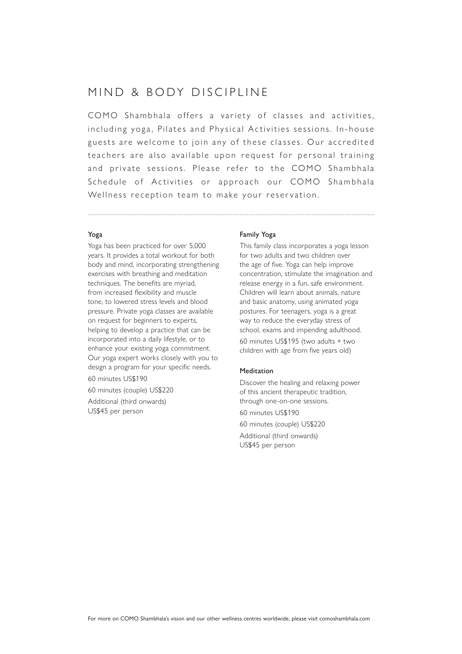# MIND & BODY DISCIPLINE

COMO Shambhala offers a variety of classes and activities. in cluding yoga, Pilates and Physical Activities sessions. In-house guests are welcome to join any of these classes. Our accredited teachers are also available upon request for personal training and private sessions. Please refer to the COMO Shambhala Schedule of Activities or approach our COMO Shambhala Wellness reception team to make your reservation.

# Yoga

Yoga has been practiced for over 5,000 years. It provides a total workout for both body and mind, incorporating strengthening exercises with breathing and meditation techniques. The benefits are myriad, from increased flexibility and muscle tone, to lowered stress levels and blood pressure. Private yoga classes are available on request for beginners to experts, helping to develop a practice that can be incorporated into a daily lifestyle, or to enhance your existing yoga commitment. Our yoga expert works closely with you to design a program for your specific needs. 60 minutes US\$190

60 minutes (couple) US\$220

Additional (third onwards) US\$45 per person

### Family Yoga

This family class incorporates a yoga lesson for two adults and two children over the age of five. Yoga can help improve concentration, stimulate the imagination and release energy in a fun, safe environment. Children will learn about animals, nature and basic anatomy, using animated yoga postures. For teenagers, yoga is a great way to reduce the everyday stress of school, exams and impending adulthood. 60 minutes US\$195 (two adults + two children with age from five years old)

# Meditation

Discover the healing and relaxing power of this ancient therapeutic tradition, through one-on-one sessions. 60 minutes US\$190 60 minutes (couple) US\$220 Additional (third onwards) US\$45 per person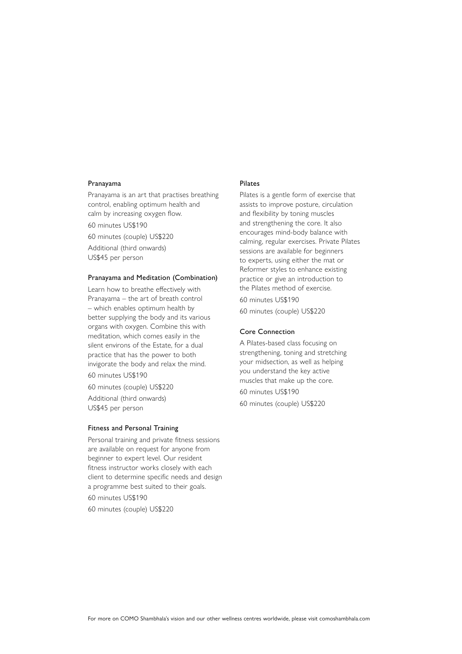### Pranayama

Pranayama is an art that practises breathing control, enabling optimum health and calm by increasing oxygen flow. 60 minutes US\$190

60 minutes (couple) US\$220 Additional (third onwards) US\$45 per person

# Pranayama and Meditation (Combination)

Learn how to breathe effectively with Pranayama – the art of breath control – which enables optimum health by better supplying the body and its various organs with oxygen. Combine this with meditation, which comes easily in the silent environs of the Estate, for a dual practice that has the power to both invigorate the body and relax the mind.

60 minutes US\$190

60 minutes (couple) US\$220 Additional (third onwards) US\$45 per person

### Fitness and Personal Training

Personal training and private fitness sessions are available on request for anyone from beginner to expert level. Our resident fitness instructor works closely with each client to determine specific needs and design a programme best suited to their goals. 60 minutes US\$190 60 minutes (couple) US\$220

### Pilates

Pilates is a gentle form of exercise that assists to improve posture, circulation and flexibility by toning muscles and strengthening the core. It also encourages mind-body balance with calming, regular exercises. Private Pilates sessions are available for beginners to experts, using either the mat or Reformer styles to enhance existing practice or give an introduction to the Pilates method of exercise.

60 minutes US\$190

60 minutes (couple) US\$220

# Core Connection

A Pilates-based class focusing on strengthening, toning and stretching your midsection, as well as helping you understand the key active muscles that make up the core. 60 minutes US\$190

60 minutes (couple) US\$220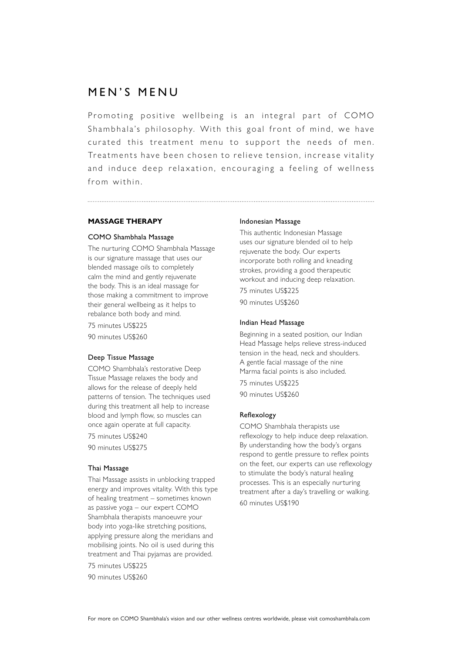# MEN'S MENU

Promoting positive wellbeing is an integral part of COMO Shambhala's philosophy. With this goal front of mind, we have curated this treatment menu to support the needs of men. Treatments have been chosen to relieve tension, increase vitality and induce deep relaxation, encouraging a feeling of wellness from within.

# **MASSAGE THERAPY**

### COMO Shambhala Massage

The nurturing COMO Shambhala Massage is our signature massage that uses our blended massage oils to completely calm the mind and gently rejuvenate the body. This is an ideal massage for those making a commitment to improve their general wellbeing as it helps to rebalance both body and mind.

75 minutes US\$225 90 minutes US\$260

# Deep Tissue Massage

COMO Shambhala's restorative Deep Tissue Massage relaxes the body and allows for the release of deeply held patterns of tension. The techniques used during this treatment all help to increase blood and lymph flow, so muscles can once again operate at full capacity.

75 minutes US\$240

90 minutes US\$275

# Thai Massage

Thai Massage assists in unblocking trapped energy and improves vitality. With this type of healing treatment – sometimes known as passive yoga – our expert COMO Shambhala therapists manoeuvre your body into yoga-like stretching positions, applying pressure along the meridians and mobilising joints. No oil is used during this treatment and Thai pyjamas are provided.

75 minutes US\$225 90 minutes US\$260

### Indonesian Massage

This authentic Indonesian Massage uses our signature blended oil to help rejuvenate the body. Our experts incorporate both rolling and kneading strokes, providing a good therapeutic workout and inducing deep relaxation.

75 minutes US\$225 90 minutes US\$260

### Indian Head Massage

Beginning in a seated position, our Indian Head Massage helps relieve stress-induced tension in the head, neck and shoulders. A gentle facial massage of the nine Marma facial points is also included.

75 minutes US\$225 90 minutes US\$260

### Reflexology

COMO Shambhala therapists use reflexology to help induce deep relaxation. By understanding how the body's organs respond to gentle pressure to reflex points on the feet, our experts can use reflexology to stimulate the body's natural healing processes. This is an especially nurturing treatment after a day's travelling or walking. 60 minutes US\$190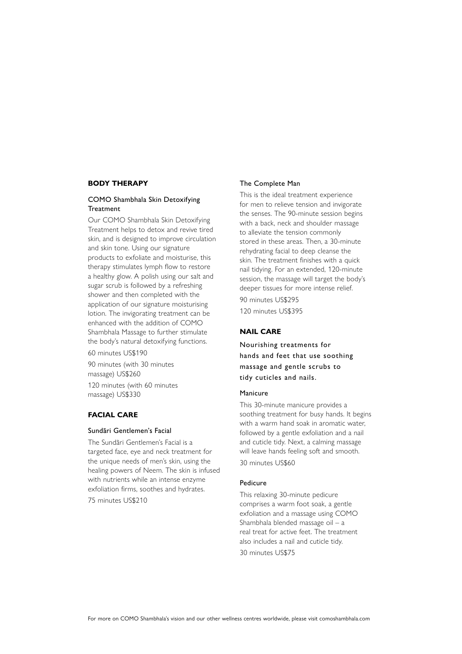# **BODY THERAPY**

# COMO Shambhala Skin Detoxifying **Treatment**

Our COMO Shambhala Skin Detoxifying Treatment helps to detox and revive tired skin, and is designed to improve circulation and skin tone. Using our signature products to exfoliate and moisturise, this therapy stimulates lymph flow to restore a healthy glow. A polish using our salt and sugar scrub is followed by a refreshing shower and then completed with the application of our signature moisturising lotion. The invigorating treatment can be enhanced with the addition of COMO Shambhala Massage to further stimulate the body's natural detoxifying functions. 60 minutes US\$190

90 minutes (with 30 minutes massage) US\$260

120 minutes (with 60 minutes massage) US\$330

# **FACIAL CARE**

### Sundãri Gentlemen's Facial

The Sundãri Gentlemen's Facial is a targeted face, eye and neck treatment for the unique needs of men's skin, using the healing powers of Neem. The skin is infused with nutrients while an intense enzyme exfoliation firms, soothes and hydrates. 75 minutes US\$210

### The Complete Man

This is the ideal treatment experience for men to relieve tension and invigorate the senses. The 90-minute session begins with a back, neck and shoulder massage to alleviate the tension commonly stored in these areas. Then, a 30-minute rehydrating facial to deep cleanse the skin. The treatment finishes with a quick nail tidying. For an extended, 120-minute session, the massage will target the body's deeper tissues for more intense relief.

90 minutes US\$295 120 minutes US\$395

# **NAIL CARE**

Nourishing treatments for hands and feet that use soothing massage and gentle scrubs to tidy cuticles and nails.

### Manicure

This 30-minute manicure provides a soothing treatment for busy hands. It begins with a warm hand soak in aromatic water, followed by a gentle exfoliation and a nail and cuticle tidy. Next, a calming massage will leave hands feeling soft and smooth. 30 minutes US\$60

#### Pedicure

This relaxing 30-minute pedicure comprises a warm foot soak, a gentle exfoliation and a massage using COMO Shambhala blended massage oil – a real treat for active feet. The treatment also includes a nail and cuticle tidy. 30 minutes US\$75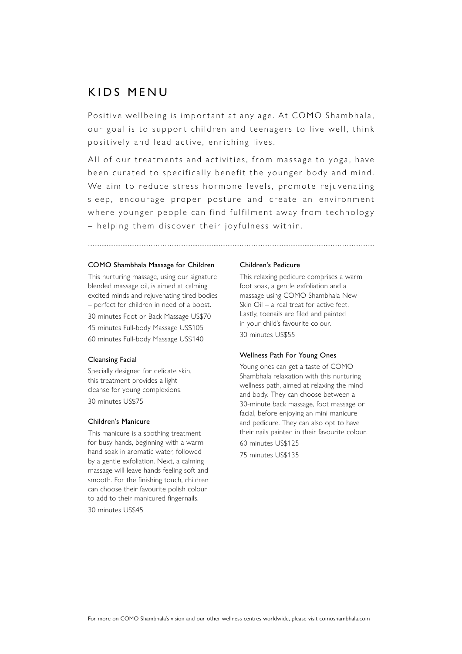# KIDS MENU

Positive wellbeing is important at any age. At COMO Shambhala, our goal is to support children and teenagers to live well, think positively and lead active, enriching lives.

All of our treatments and activities, from massage to yoga, have been curated to specifically benefit the younger body and mind. We aim to reduce stress hormone levels, promote rejuvenating sleep, encourage proper posture and create an environment where younger people can find fulfilment away from technology – helping them discover their joyfulness within.

### COMO Shambhala Massage for Children

This nurturing massage, using our signature blended massage oil, is aimed at calming excited minds and rejuvenating tired bodies – perfect for children in need of a boost. 30 minutes Foot or Back Massage US\$70 45 minutes Full-body Massage US\$105 60 minutes Full-body Massage US\$140

### Cleansing Facial

Specially designed for delicate skin, this treatment provides a light cleanse for young complexions. 30 minutes US\$75

### Children's Manicure

This manicure is a soothing treatment for busy hands, beginning with a warm hand soak in aromatic water, followed by a gentle exfoliation. Next, a calming massage will leave hands feeling soft and smooth. For the finishing touch, children can choose their favourite polish colour to add to their manicured fingernails.

30 minutes US\$45

#### Children's Pedicure

This relaxing pedicure comprises a warm foot soak, a gentle exfoliation and a massage using COMO Shambhala New Skin Oil – a real treat for active feet. Lastly, toenails are filed and painted in your child's favourite colour. 30 minutes US\$55

### Wellness Path For Young Ones

Young ones can get a taste of COMO Shambhala relaxation with this nurturing wellness path, aimed at relaxing the mind and body. They can choose between a 30-minute back massage, foot massage or facial, before enjoying an mini manicure and pedicure. They can also opt to have their nails painted in their favourite colour. 60 minutes US\$125 75 minutes US\$135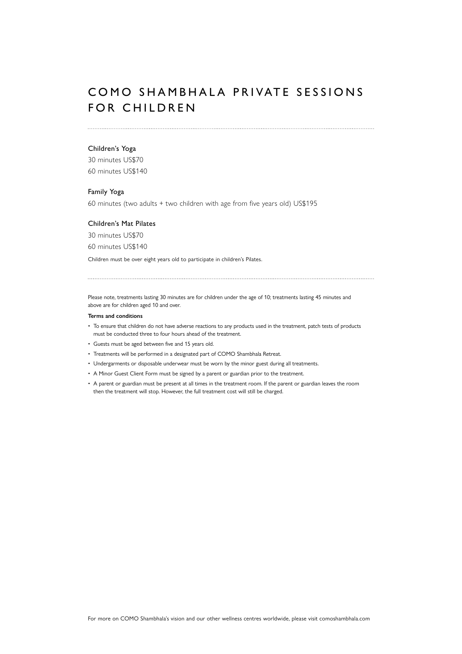# COMO SHAMBHALA PRIVATE SESSIONS FOR CHILDREN

### Children's Yoga

30 minutes US\$70 60 minutes US\$140

### Family Yoga

60 minutes (two adults + two children with age from five years old) US\$195

### Children's Mat Pilates

30 minutes US\$70

60 minutes US\$140

Children must be over eight years old to participate in children's Pilates.

Please note, treatments lasting 30 minutes are for children under the age of 10; treatments lasting 45 minutes and above are for children aged 10 and over.

#### **Terms and conditions**

- To ensure that children do not have adverse reactions to any products used in the treatment, patch tests of products must be conducted three to four hours ahead of the treatment.
- Guests must be aged between five and 15 years old.
- Treatments will be performed in a designated part of COMO Shambhala Retreat.
- Undergarments or disposable underwear must be worn by the minor guest during all treatments.
- A Minor Guest Client Form must be signed by a parent or guardian prior to the treatment.
- A parent or guardian must be present at all times in the treatment room. If the parent or guardian leaves the room then the treatment will stop. However, the full treatment cost will still be charged.